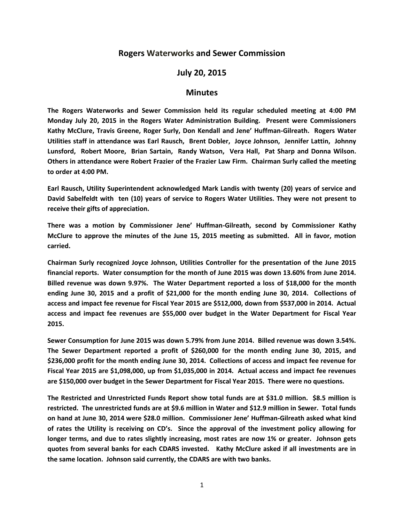## **Rogers Waterworks and Sewer Commission**

## **July 20, 2015**

## **Minutes**

**The Rogers Waterworks and Sewer Commission held its regular scheduled meeting at 4:00 PM Monday July 20, 2015 in the Rogers Water Administration Building. Present were Commissioners Kathy McClure, Travis Greene, Roger Surly, Don Kendall and Jene' Huffman-Gilreath. Rogers Water Utilities staff in attendance was Earl Rausch, Brent Dobler, Joyce Johnson, Jennifer Lattin, Johnny Lunsford, Robert Moore, Brian Sartain, Randy Watson, Vera Hall, Pat Sharp and Donna Wilson. Others in attendance were Robert Frazier of the Frazier Law Firm. Chairman Surly called the meeting to order at 4:00 PM.**

**Earl Rausch, Utility Superintendent acknowledged Mark Landis with twenty (20) years of service and David Sabelfeldt with ten (10) years of service to Rogers Water Utilities. They were not present to receive their gifts of appreciation.**

**There was a motion by Commissioner Jene' Huffman-Gilreath, second by Commissioner Kathy McClure to approve the minutes of the June 15, 2015 meeting as submitted. All in favor, motion carried.**

**Chairman Surly recognized Joyce Johnson, Utilities Controller for the presentation of the June 2015 financial reports. Water consumption for the month of June 2015 was down 13.60% from June 2014. Billed revenue was down 9.97%. The Water Department reported a loss of \$18,000 for the month ending June 30, 2015 and a profit of \$21,000 for the month ending June 30, 2014. Collections of access and impact fee revenue for Fiscal Year 2015 are \$512,000, down from \$537,000 in 2014. Actual access and impact fee revenues are \$55,000 over budget in the Water Department for Fiscal Year 2015.**

**Sewer Consumption for June 2015 was down 5.79% from June 2014. Billed revenue was down 3.54%. The Sewer Department reported a profit of \$260,000 for the month ending June 30, 2015, and \$236,000 profit for the month ending June 30, 2014. Collections of access and impact fee revenue for Fiscal Year 2015 are \$1,098,000, up from \$1,035,000 in 2014. Actual access and impact fee revenues are \$150,000 over budget in the Sewer Department for Fiscal Year 2015. There were no questions.**

**The Restricted and Unrestricted Funds Report show total funds are at \$31.0 million. \$8.5 million is restricted. The unrestricted funds are at \$9.6 million in Water and \$12.9 million in Sewer. Total funds on hand at June 30, 2014 were \$28.0 million. Commissioner Jene' Huffman-Gilreath asked what kind of rates the Utility is receiving on CD's. Since the approval of the investment policy allowing for longer terms, and due to rates slightly increasing, most rates are now 1% or greater. Johnson gets quotes from several banks for each CDARS invested. Kathy McClure asked if all investments are in the same location. Johnson said currently, the CDARS are with two banks.**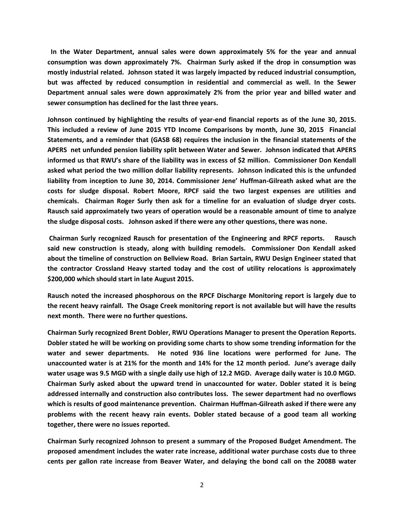**In the Water Department, annual sales were down approximately 5% for the year and annual consumption was down approximately 7%. Chairman Surly asked if the drop in consumption was mostly industrial related. Johnson stated it was largely impacted by reduced industrial consumption, but was affected by reduced consumption in residential and commercial as well. In the Sewer Department annual sales were down approximately 2% from the prior year and billed water and sewer consumption has declined for the last three years.** 

**Johnson continued by highlighting the results of year-end financial reports as of the June 30, 2015. This included a review of June 2015 YTD Income Comparisons by month, June 30, 2015 Financial Statements, and a reminder that (GASB 68) requires the inclusion in the financial statements of the APERS net unfunded pension liability split between Water and Sewer. Johnson indicated that APERS informed us that RWU's share of the liability was in excess of \$2 million. Commissioner Don Kendall asked what period the two million dollar liability represents. Johnson indicated this is the unfunded liability from inception to June 30, 2014. Commissioner Jene' Huffman-Gilreath asked what are the costs for sludge disposal. Robert Moore, RPCF said the two largest expenses are utilities and chemicals. Chairman Roger Surly then ask for a timeline for an evaluation of sludge dryer costs. Rausch said approximately two years of operation would be a reasonable amount of time to analyze the sludge disposal costs. Johnson asked if there were any other questions, there was none.**

**Chairman Surly recognized Rausch for presentation of the Engineering and RPCF reports. Rausch said new construction is steady, along with building remodels. Commissioner Don Kendall asked about the timeline of construction on Bellview Road. Brian Sartain, RWU Design Engineer stated that the contractor Crossland Heavy started today and the cost of utility relocations is approximately \$200,000 which should start in late August 2015.**

**Rausch noted the increased phosphorous on the RPCF Discharge Monitoring report is largely due to the recent heavy rainfall. The Osage Creek monitoring report is not available but will have the results next month. There were no further questions.**

**Chairman Surly recognized Brent Dobler, RWU Operations Manager to present the Operation Reports. Dobler stated he will be working on providing some charts to show some trending information for the water and sewer departments. He noted 936 line locations were performed for June. The unaccounted water is at 21% for the month and 14% for the 12 month period. June's average daily water usage was 9.5 MGD with a single daily use high of 12.2 MGD. Average daily water is 10.0 MGD. Chairman Surly asked about the upward trend in unaccounted for water. Dobler stated it is being addressed internally and construction also contributes loss. The sewer department had no overflows which is results of good maintenance prevention. Chairman Huffman-Gilreath asked if there were any problems with the recent heavy rain events. Dobler stated because of a good team all working together, there were no issues reported.**

**Chairman Surly recognized Johnson to present a summary of the Proposed Budget Amendment. The proposed amendment includes the water rate increase, additional water purchase costs due to three cents per gallon rate increase from Beaver Water, and delaying the bond call on the 2008B water**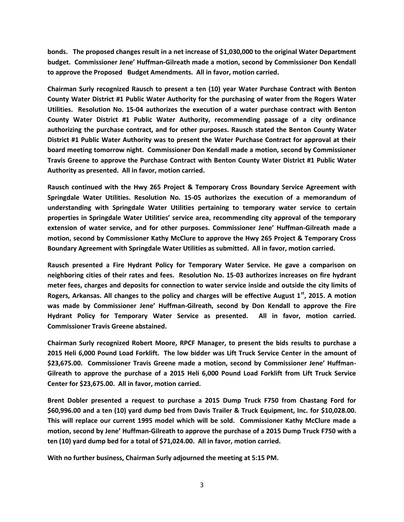**bonds. The proposed changes result in a net increase of \$1,030,000 to the original Water Department budget. Commissioner Jene' Huffman-Gilreath made a motion, second by Commissioner Don Kendall to approve the Proposed Budget Amendments. All in favor, motion carried.**

**Chairman Surly recognized Rausch to present a ten (10) year Water Purchase Contract with Benton County Water District #1 Public Water Authority for the purchasing of water from the Rogers Water Utilities. Resolution No. 15-04 authorizes the execution of a water purchase contract with Benton County Water District #1 Public Water Authority, recommending passage of a city ordinance authorizing the purchase contract, and for other purposes. Rausch stated the Benton County Water District #1 Public Water Authority was to present the Water Purchase Contract for approval at their board meeting tomorrow night. Commissioner Don Kendall made a motion, second by Commissioner Travis Greene to approve the Purchase Contract with Benton County Water District #1 Public Water Authority as presented. All in favor, motion carried.**

**Rausch continued with the Hwy 265 Project & Temporary Cross Boundary Service Agreement with Springdale Water Utilities. Resolution No. 15-05 authorizes the execution of a memorandum of understanding with Springdale Water Utilities pertaining to temporary water service to certain properties in Springdale Water Utilities' service area, recommending city approval of the temporary extension of water service, and for other purposes. Commissioner Jene' Huffman-Gilreath made a motion, second by Commissioner Kathy McClure to approve the Hwy 265 Project & Temporary Cross Boundary Agreement with Springdale Water Utilities as submitted. All in favor, motion carried.**

**Rausch presented a Fire Hydrant Policy for Temporary Water Service. He gave a comparison on neighboring cities of their rates and fees. Resolution No. 15-03 authorizes increases on fire hydrant meter fees, charges and deposits for connection to water service inside and outside the city limits of Rogers, Arkansas. All changes to the policy and charges will be effective August 1st, 2015. A motion was made by Commissioner Jene' Huffman-Gilreath, second by Don Kendall to approve the Fire Hydrant Policy for Temporary Water Service as presented. All in favor, motion carried. Commissioner Travis Greene abstained.** 

**Chairman Surly recognized Robert Moore, RPCF Manager, to present the bids results to purchase a 2015 Heli 6,000 Pound Load Forklift. The low bidder was Lift Truck Service Center in the amount of \$23,675.00. Commissioner Travis Greene made a motion, second by Commissioner Jene' Huffman-Gilreath to approve the purchase of a 2015 Heli 6,000 Pound Load Forklift from Lift Truck Service Center for \$23,675.00. All in favor, motion carried.**

**Brent Dobler presented a request to purchase a 2015 Dump Truck F750 from Chastang Ford for \$60,996.00 and a ten (10) yard dump bed from Davis Trailer & Truck Equipment, Inc. for \$10,028.00. This will replace our current 1995 model which will be sold. Commissioner Kathy McClure made a motion, second by Jene' Huffman-Gilreath to approve the purchase of a 2015 Dump Truck F750 with a ten (10) yard dump bed for a total of \$71,024.00. All in favor, motion carried.**

**With no further business, Chairman Surly adjourned the meeting at 5:15 PM.**